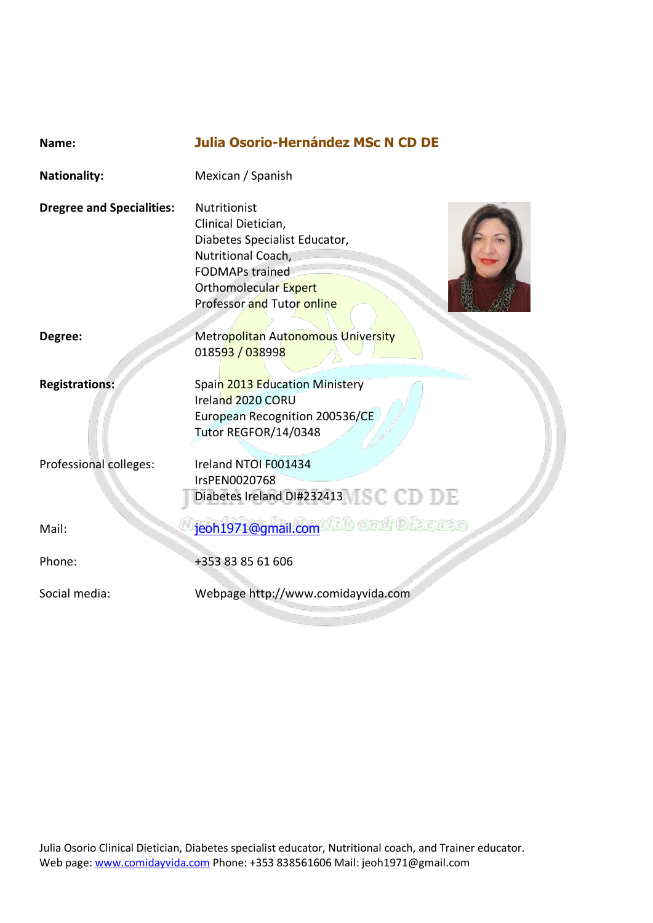| . .<br>w | -----<br>۰.<br>× |  |
|----------|------------------|--|
|          |                  |  |
|          |                  |  |
|          |                  |  |

**Nationality:** Mexican / Spanish

**Dregree and Specialities:** Nutritionist

Clinical Dietician, Diabetes Specialist Educator, Nutritional Coach, FODMAPs trained Orthomolecular Expert Professor and Tutor online



**Degree:** Metropolitan Autonomous University 018593 / 038998

**Registrations:** Spain 2013 Education Ministery

Ireland 2020 CORU European Recognition 200536/CE Tutor REGFOR/14/0348

Professional colleges: Ireland NTOI F001434

IrsPEN0020768 Diabetes Ireland DI#232413 SCCDDE

Mail: [jeoh1971@gmail.com](mailto:jeoh1971@gmail.com)

Phone: +353 83 85 61 606

Social media: Webpage http://www.comidayvida.com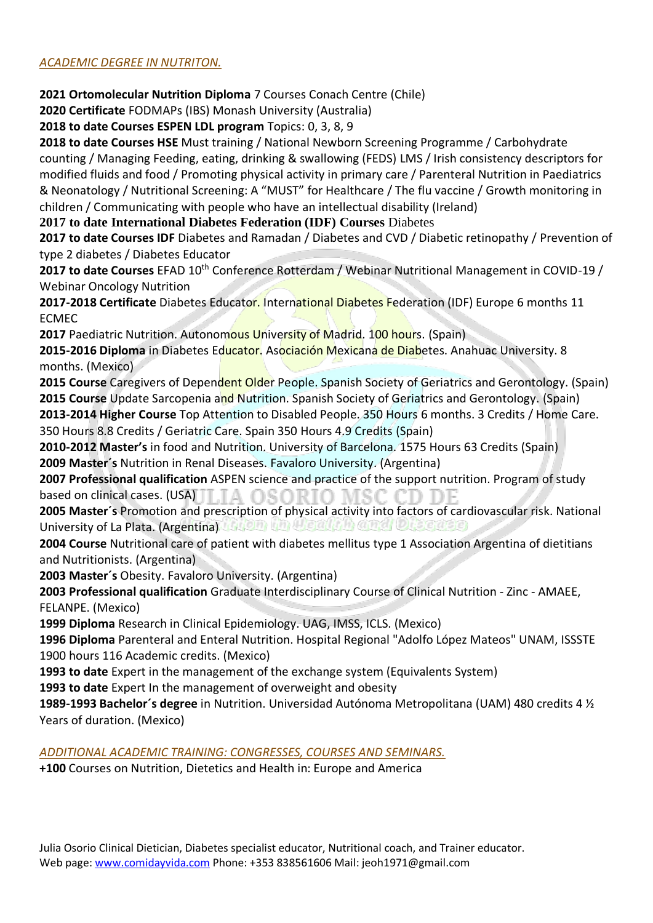# *ACADEMIC DEGREE IN NUTRITON.*

**2021 Ortomolecular Nutrition Diploma** 7 Courses Conach Centre (Chile)

**2020 Certificate** FODMAPs (IBS) Monash University (Australia)

**2018 to date Courses ESPEN LDL program** Topics: 0, 3, 8, 9

**2018 to date Courses HSE** Must training / National Newborn Screening Programme / Carbohydrate counting / Managing Feeding, eating, drinking & swallowing (FEDS) LMS / Irish consistency descriptors for modified fluids and food / Promoting physical activity in primary care / Parenteral Nutrition in Paediatrics & Neonatology / Nutritional Screening: A "MUST" for Healthcare / The flu vaccine / Growth monitoring in children / Communicating with people who have an intellectual disability (Ireland)

**2017 to date International Diabetes Federation (IDF) Courses** Diabetes

**2017 to date Courses IDF** Diabetes and Ramadan / Diabetes and CVD / Diabetic retinopathy / Prevention of type 2 diabetes / Diabetes Educator

**2017 to date Courses** EFAD 10th Conference Rotterdam / Webinar Nutritional Management in COVID-19 / Webinar Oncology Nutrition

**2017-2018 Certificate** Diabetes Educator. International Diabetes Federation (IDF) Europe 6 months 11 ECMEC

**2017** Paediatric Nutrition. Autonomous University of Madrid. 100 hours. (Spain)

**2015-2016 Diploma** in Diabetes Educator. Asociación Mexicana de Diabetes. Anahuac University. 8 months. (Mexico)

2015 Course Caregivers of Dependent Older People. Spanish Society of Geriatrics and Gerontology. (Spain) **2015 Course** Update Sarcopenia and Nutrition. Spanish Society of Geriatrics and Gerontology. (Spain)

**2013-2014 Higher Course** Top Attention to Disabled People. 350 Hours 6 months. 3 Credits / Home Care. 350 Hours 8.8 Credits / Geriatric Care. Spain 350 Hours 4.9 Credits (Spain)

**2010-2012 Master's** in food and Nutrition. University of Barcelona. 1575 Hours 63 Credits (Spain) **2009 Master´s** Nutrition in Renal Diseases. Favaloro University. (Argentina)

**2007 Professional qualification** ASPEN science and practice of the support nutrition. Program of study based on clinical cases. (USA) TA OSORIO MSC CD DE

**2005 Master´s** Promotion and prescription of physical activity into factors of cardiovascular risk. National University of La Plata. (Argentina) http://www. Helalthing.org/ Dr. Sejarge)

**2004 Course** Nutritional care of patient with diabetes mellitus type 1 Association Argentina of dietitians and Nutritionists. (Argentina)

**2003 Master´s** Obesity. Favaloro University. (Argentina)

**2003 Professional qualification** Graduate Interdisciplinary Course of Clinical Nutrition - Zinc - AMAEE, FELANPE. (Mexico)

**1999 Diploma** Research in Clinical Epidemiology. UAG, IMSS, ICLS. (Mexico)

**1996 Diploma** Parenteral and Enteral Nutrition. Hospital Regional "Adolfo López Mateos" UNAM, ISSSTE 1900 hours 116 Academic credits. (Mexico)

**1993 to date** Expert in the management of the exchange system (Equivalents System)

**1993 to date** Expert In the management of overweight and obesity

**1989-1993 Bachelor´s degree** in Nutrition. Universidad Autónoma Metropolitana (UAM) 480 credits 4 ½ Years of duration. (Mexico)

*ADDITIONAL ACADEMIC TRAINING: CONGRESSES, COURSES AND SEMINARS.*

**+100** Courses on Nutrition, Dietetics and Health in: Europe and America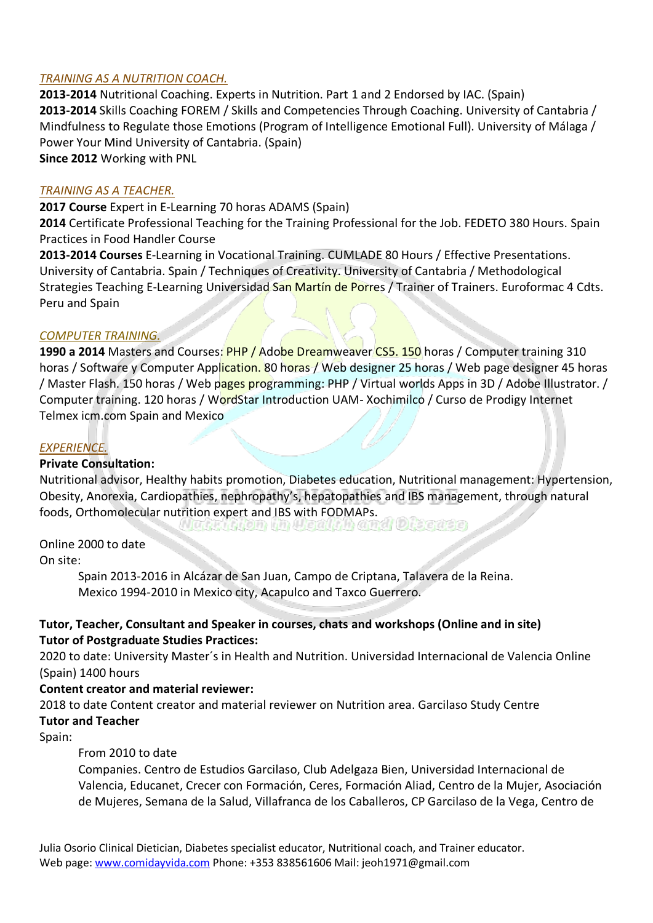# *TRAINING AS A NUTRITION COACH.*

**2013-2014** Nutritional Coaching. Experts in Nutrition. Part 1 and 2 Endorsed by IAC. (Spain) **2013-2014** Skills Coaching FOREM / Skills and Competencies Through Coaching. University of Cantabria / Mindfulness to Regulate those Emotions (Program of Intelligence Emotional Full). University of Málaga / Power Your Mind University of Cantabria. (Spain) **Since 2012** Working with PNL

# *TRAINING AS A TEACHER.*

**2017 Course** Expert in E-Learning 70 horas ADAMS (Spain)

**2014** Certificate Professional Teaching for the Training Professional for the Job. FEDETO 380 Hours. Spain Practices in Food Handler Course

**2013-2014 Courses** E-Learning in Vocational Training. CUMLADE 80 Hours / Effective Presentations. University of Cantabria. Spain / Techniques of Creativity. University of Cantabria / Methodological Strategies Teaching E-Learning Universidad San Martín de Porres / Trainer of Trainers. Euroformac 4 Cdts. Peru and Spain

### *COMPUTER TRAINING.*

**1990 a 2014** Masters and Courses: PHP / Adobe Dreamweaver CS5. 150 horas / Computer training 310 horas / Software y Computer Application. 80 horas / Web designer 25 horas / Web page designer 45 horas / Master Flash. 150 horas / Web pages programming: PHP / Virtual worlds Apps in 3D / Adobe Illustrator. / Computer training. 120 horas / WordStar Introduction UAM- Xochimilco / Curso de Prodigy Internet Telmex icm.com Spain and Mexico

### *EXPERIENCE.*

### **Private Consultation:**

Nutritional advisor, Healthy habits promotion, Diabetes education, Nutritional management: Hypertension, Obesity, Anorexia, Cardiopathies, nephropathy's, hepatopathies and IBS management, through natural foods, Orthomolecular nutrition expert and IBS with FODMAPs.<br>Relation in Health is a middle and Diseases

### Online 2000 to date

On site:

Spain 2013-2016 in Alcázar de San Juan, Campo de Criptana, Talavera de la Reina. Mexico 1994-2010 in Mexico city, Acapulco and Taxco Guerrero.

# **Tutor, Teacher, Consultant and Speaker in courses, chats and workshops (Online and in site) Tutor of Postgraduate Studies Practices:**

2020 to date: University Master´s in Health and Nutrition. Universidad Internacional de Valencia Online (Spain) 1400 hours

### **Content creator and material reviewer:**

2018 to date Content creator and material reviewer on Nutrition area. Garcilaso Study Centre **Tutor and Teacher**

Spain:

### From 2010 to date

Companies. Centro de Estudios Garcilaso, Club Adelgaza Bien, Universidad Internacional de Valencia, Educanet, Crecer con Formación, Ceres, Formación Aliad, Centro de la Mujer, Asociación de Mujeres, Semana de la Salud, Villafranca de los Caballeros, CP Garcilaso de la Vega, Centro de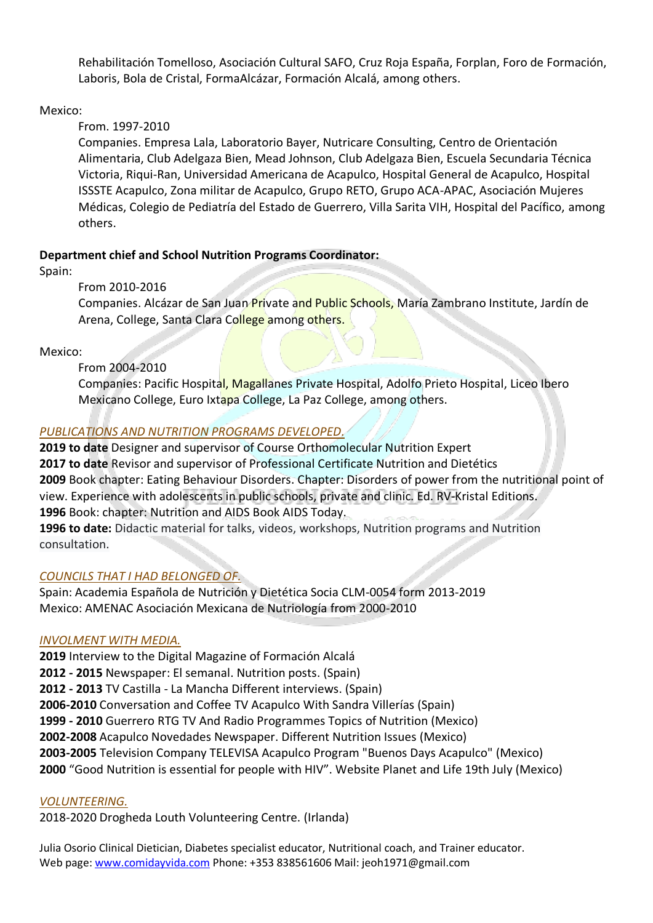Rehabilitación Tomelloso, Asociación Cultural SAFO, Cruz Roja España, Forplan, Foro de Formación, Laboris, Bola de Cristal, FormaAlcázar, Formación Alcalá, among others.

# Mexico:

# From. 1997-2010

Companies. Empresa Lala, Laboratorio Bayer, Nutricare Consulting, Centro de Orientación Alimentaria, Club Adelgaza Bien, Mead Johnson, Club Adelgaza Bien, Escuela Secundaria Técnica Victoria, Riqui-Ran, Universidad Americana de Acapulco, Hospital General de Acapulco, Hospital ISSSTE Acapulco, Zona militar de Acapulco, Grupo RETO, Grupo ACA-APAC, Asociación Mujeres Médicas, Colegio de Pediatría del Estado de Guerrero, Villa Sarita VIH, Hospital del Pacífico, among others.

# **Department chief and School Nutrition Programs Coordinator:**

Spain:

# From 2010-2016

Companies. Alcázar de San Juan Private and Public Schools, María Zambrano Institute, Jardín de Arena, College, Santa Clara College among others.

# Mexico:

# From 2004-2010

Companies: Pacific Hospital, Magallanes Private Hospital, Adolfo Prieto Hospital, Liceo Ibero Mexicano College, Euro Ixtapa College, La Paz College, among others.

# *PUBLICATIONS AND NUTRITION PROGRAMS DEVELOPED.*

**2019 to date** Designer and supervisor of Course Orthomolecular Nutrition Expert **2017 to date** Revisor and supervisor of Professional Certificate Nutrition and Dietétics **2009** Book chapter: Eating Behaviour Disorders. Chapter: Disorders of power from the nutritional point of view. Experience with adolescents in public schools, private and clinic. Ed. RV-Kristal Editions. **1996** Book: chapter: Nutrition and AIDS Book AIDS Today.

**1996 to date:** Didactic material for talks, videos, workshops, Nutrition programs and Nutrition consultation.

# *COUNCILS THAT I HAD BELONGED OF.*

Spain: Academia Española de Nutrición y Dietética Socia CLM-0054 form 2013-2019 Mexico: AMENAC Asociación Mexicana de Nutriología from 2000-2010

### *INVOLMENT WITH MEDIA.*

**2019** Interview to the Digital Magazine of Formación Alcalá **2012 - 2015** Newspaper: El semanal. Nutrition posts. (Spain) **2012 - 2013** TV Castilla - La Mancha Different interviews. (Spain) **2006-2010** Conversation and Coffee TV Acapulco With Sandra Villerías (Spain) **1999 - 2010** Guerrero RTG TV And Radio Programmes Topics of Nutrition (Mexico) **2002-2008** Acapulco Novedades Newspaper. Different Nutrition Issues (Mexico) **2003-2005** Television Company TELEVISA Acapulco Program "Buenos Days Acapulco" (Mexico) **2000** "Good Nutrition is essential for people with HIV". Website Planet and Life 19th July (Mexico)

# *VOLUNTEERING.*

2018-2020 Drogheda Louth Volunteering Centre. (Irlanda)